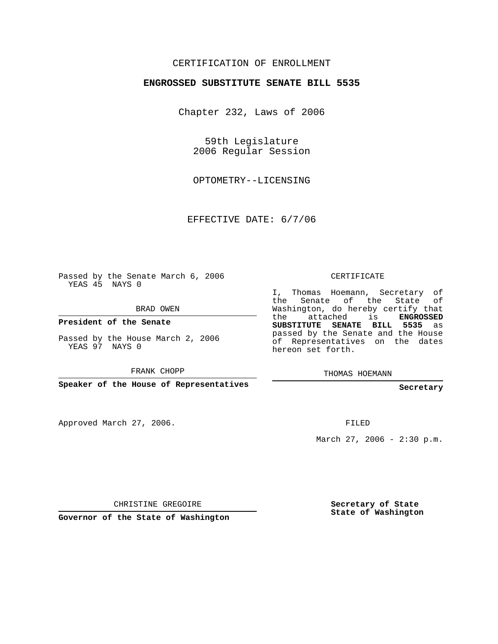## CERTIFICATION OF ENROLLMENT

## **ENGROSSED SUBSTITUTE SENATE BILL 5535**

Chapter 232, Laws of 2006

59th Legislature 2006 Regular Session

OPTOMETRY--LICENSING

EFFECTIVE DATE: 6/7/06

Passed by the Senate March 6, 2006 YEAS 45 NAYS 0

BRAD OWEN

**President of the Senate**

Passed by the House March 2, 2006 YEAS 97 NAYS 0

FRANK CHOPP

**Speaker of the House of Representatives**

Approved March 27, 2006.

CERTIFICATE

I, Thomas Hoemann, Secretary of the Senate of the State of Washington, do hereby certify that the attached is **ENGROSSED SUBSTITUTE SENATE BILL 5535** as passed by the Senate and the House of Representatives on the dates hereon set forth.

THOMAS HOEMANN

**Secretary**

FILED

March 27, 2006 -  $2:30 \text{ p.m.}$ 

CHRISTINE GREGOIRE

**Governor of the State of Washington**

**Secretary of State State of Washington**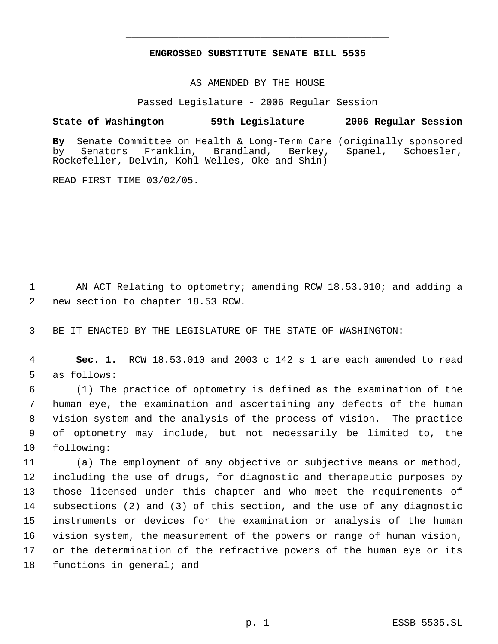## **ENGROSSED SUBSTITUTE SENATE BILL 5535** \_\_\_\_\_\_\_\_\_\_\_\_\_\_\_\_\_\_\_\_\_\_\_\_\_\_\_\_\_\_\_\_\_\_\_\_\_\_\_\_\_\_\_\_\_

\_\_\_\_\_\_\_\_\_\_\_\_\_\_\_\_\_\_\_\_\_\_\_\_\_\_\_\_\_\_\_\_\_\_\_\_\_\_\_\_\_\_\_\_\_

AS AMENDED BY THE HOUSE

Passed Legislature - 2006 Regular Session

## **State of Washington 59th Legislature 2006 Regular Session**

**By** Senate Committee on Health & Long-Term Care (originally sponsored by Senators Franklin, Brandland, Berkey, Spanel, Schoesler, Rockefeller, Delvin, Kohl-Welles, Oke and Shin)

READ FIRST TIME 03/02/05.

 1 AN ACT Relating to optometry; amending RCW 18.53.010; and adding a 2 new section to chapter 18.53 RCW.

3 BE IT ENACTED BY THE LEGISLATURE OF THE STATE OF WASHINGTON:

 4 **Sec. 1.** RCW 18.53.010 and 2003 c 142 s 1 are each amended to read 5 as follows:

 (1) The practice of optometry is defined as the examination of the human eye, the examination and ascertaining any defects of the human vision system and the analysis of the process of vision. The practice of optometry may include, but not necessarily be limited to, the following:

 (a) The employment of any objective or subjective means or method, including the use of drugs, for diagnostic and therapeutic purposes by those licensed under this chapter and who meet the requirements of subsections (2) and (3) of this section, and the use of any diagnostic instruments or devices for the examination or analysis of the human vision system, the measurement of the powers or range of human vision, or the determination of the refractive powers of the human eye or its 18 functions in general; and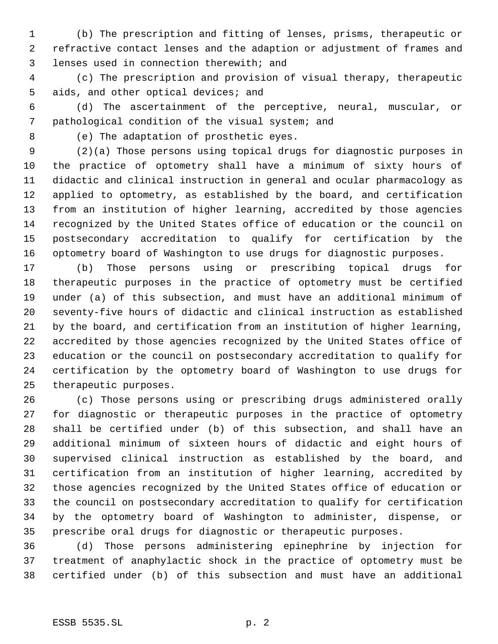(b) The prescription and fitting of lenses, prisms, therapeutic or refractive contact lenses and the adaption or adjustment of frames and lenses used in connection therewith; and

 (c) The prescription and provision of visual therapy, therapeutic 5 aids, and other optical devices; and

 (d) The ascertainment of the perceptive, neural, muscular, or pathological condition of the visual system; and

(e) The adaptation of prosthetic eyes.

 (2)(a) Those persons using topical drugs for diagnostic purposes in the practice of optometry shall have a minimum of sixty hours of didactic and clinical instruction in general and ocular pharmacology as applied to optometry, as established by the board, and certification from an institution of higher learning, accredited by those agencies recognized by the United States office of education or the council on postsecondary accreditation to qualify for certification by the optometry board of Washington to use drugs for diagnostic purposes.

 (b) Those persons using or prescribing topical drugs for therapeutic purposes in the practice of optometry must be certified under (a) of this subsection, and must have an additional minimum of seventy-five hours of didactic and clinical instruction as established by the board, and certification from an institution of higher learning, accredited by those agencies recognized by the United States office of education or the council on postsecondary accreditation to qualify for certification by the optometry board of Washington to use drugs for therapeutic purposes.

 (c) Those persons using or prescribing drugs administered orally for diagnostic or therapeutic purposes in the practice of optometry shall be certified under (b) of this subsection, and shall have an additional minimum of sixteen hours of didactic and eight hours of supervised clinical instruction as established by the board, and certification from an institution of higher learning, accredited by those agencies recognized by the United States office of education or the council on postsecondary accreditation to qualify for certification by the optometry board of Washington to administer, dispense, or prescribe oral drugs for diagnostic or therapeutic purposes.

 (d) Those persons administering epinephrine by injection for treatment of anaphylactic shock in the practice of optometry must be certified under (b) of this subsection and must have an additional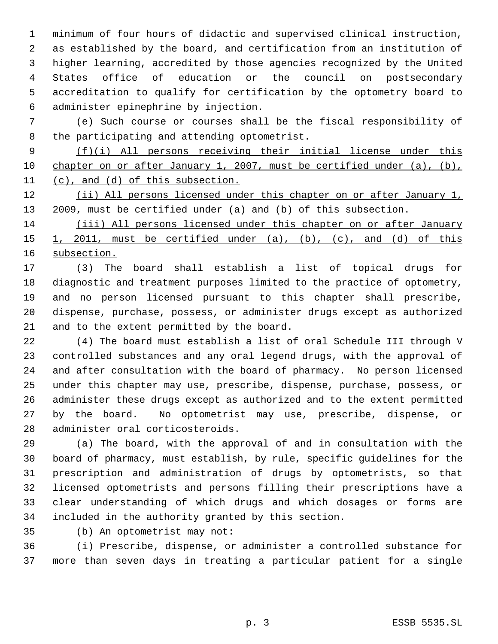minimum of four hours of didactic and supervised clinical instruction, as established by the board, and certification from an institution of higher learning, accredited by those agencies recognized by the United States office of education or the council on postsecondary accreditation to qualify for certification by the optometry board to administer epinephrine by injection.

 (e) Such course or courses shall be the fiscal responsibility of the participating and attending optometrist.

 (f)(i) All persons receiving their initial license under this chapter on or after January 1, 2007, must be certified under (a), (b), (c), and (d) of this subsection.

12 (ii) All persons licensed under this chapter on or after January 1, 2009, must be certified under (a) and (b) of this subsection.

 (iii) All persons licensed under this chapter on or after January 15 1, 2011, must be certified under  $(a)$ ,  $(b)$ ,  $(c)$ , and  $(d)$  of this subsection.

 (3) The board shall establish a list of topical drugs for diagnostic and treatment purposes limited to the practice of optometry, and no person licensed pursuant to this chapter shall prescribe, dispense, purchase, possess, or administer drugs except as authorized and to the extent permitted by the board.

 (4) The board must establish a list of oral Schedule III through V controlled substances and any oral legend drugs, with the approval of and after consultation with the board of pharmacy. No person licensed under this chapter may use, prescribe, dispense, purchase, possess, or administer these drugs except as authorized and to the extent permitted by the board. No optometrist may use, prescribe, dispense, or administer oral corticosteroids.

 (a) The board, with the approval of and in consultation with the board of pharmacy, must establish, by rule, specific guidelines for the prescription and administration of drugs by optometrists, so that licensed optometrists and persons filling their prescriptions have a clear understanding of which drugs and which dosages or forms are included in the authority granted by this section.

(b) An optometrist may not:

 (i) Prescribe, dispense, or administer a controlled substance for more than seven days in treating a particular patient for a single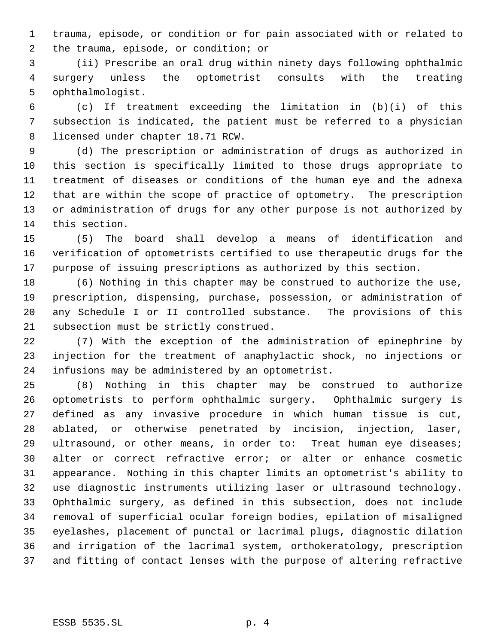trauma, episode, or condition or for pain associated with or related to the trauma, episode, or condition; or

 (ii) Prescribe an oral drug within ninety days following ophthalmic surgery unless the optometrist consults with the treating ophthalmologist.

 (c) If treatment exceeding the limitation in (b)(i) of this subsection is indicated, the patient must be referred to a physician licensed under chapter 18.71 RCW.

 (d) The prescription or administration of drugs as authorized in this section is specifically limited to those drugs appropriate to treatment of diseases or conditions of the human eye and the adnexa that are within the scope of practice of optometry. The prescription or administration of drugs for any other purpose is not authorized by this section.

 (5) The board shall develop a means of identification and verification of optometrists certified to use therapeutic drugs for the purpose of issuing prescriptions as authorized by this section.

 (6) Nothing in this chapter may be construed to authorize the use, prescription, dispensing, purchase, possession, or administration of any Schedule I or II controlled substance. The provisions of this subsection must be strictly construed.

 (7) With the exception of the administration of epinephrine by injection for the treatment of anaphylactic shock, no injections or infusions may be administered by an optometrist.

 (8) Nothing in this chapter may be construed to authorize optometrists to perform ophthalmic surgery. Ophthalmic surgery is defined as any invasive procedure in which human tissue is cut, ablated, or otherwise penetrated by incision, injection, laser, 29 ultrasound, or other means, in order to: Treat human eye diseases; alter or correct refractive error; or alter or enhance cosmetic appearance. Nothing in this chapter limits an optometrist's ability to use diagnostic instruments utilizing laser or ultrasound technology. Ophthalmic surgery, as defined in this subsection, does not include removal of superficial ocular foreign bodies, epilation of misaligned eyelashes, placement of punctal or lacrimal plugs, diagnostic dilation and irrigation of the lacrimal system, orthokeratology, prescription and fitting of contact lenses with the purpose of altering refractive